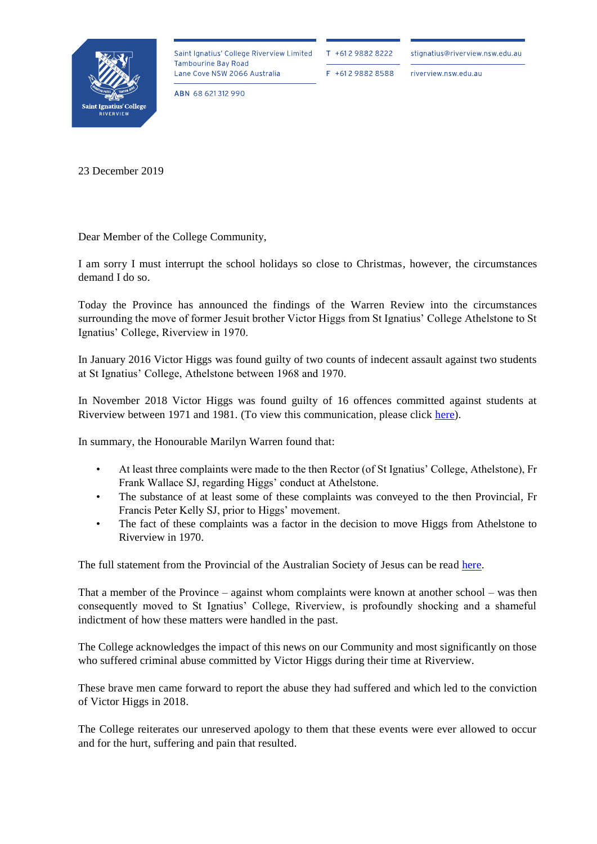

Saint Ignatius' College Riverview Limited **Tambourine Bay Road** Lane Cove NSW 2066 Australia

T +612 9882 8222

F +612 9882 8588

stignatius@riverview.nsw.edu.au

riverview.nsw.edu.au

ABN 68 621312 990

23 December 2019

Dear Member of the College Community,

I am sorry I must interrupt the school holidays so close to Christmas, however, the circumstances demand I do so.

Today the Province has announced the findings of the Warren Review into the circumstances surrounding the move of former Jesuit brother Victor Higgs from St Ignatius' College Athelstone to St Ignatius' College, Riverview in 1970.

In January 2016 Victor Higgs was found guilty of two counts of indecent assault against two students at St Ignatius' College, Athelstone between 1968 and 1970.

In November 2018 Victor Higgs was found guilty of 16 offences committed against students at Riverview between 1971 and 1981. (To view this communication, please click [here\)](https://www.riverview.nsw.edu.au/wp-content/uploads/2019/12/Letter-to-the-Community_23-November-2018.pdf).

In summary, the Honourable Marilyn Warren found that:

- At least three complaints were made to the then Rector (of St Ignatius' College, Athelstone), Fr Frank Wallace SJ, regarding Higgs' conduct at Athelstone.
- The substance of at least some of these complaints was conveyed to the then Provincial, Fr Francis Peter Kelly SJ, prior to Higgs' movement.
- The fact of these complaints was a factor in the decision to move Higgs from Athelstone to Riverview in 1970.

The full statement from the Provincial of the Australian Society of Jesus can be read [here.](https://www.riverview.nsw.edu.au/wp-content/uploads/2019/12/191223-Province-Statement.pdf)

That a member of the Province – against whom complaints were known at another school – was then consequently moved to St Ignatius' College, Riverview, is profoundly shocking and a shameful indictment of how these matters were handled in the past.

The College acknowledges the impact of this news on our Community and most significantly on those who suffered criminal abuse committed by Victor Higgs during their time at Riverview.

These brave men came forward to report the abuse they had suffered and which led to the conviction of Victor Higgs in 2018.

The College reiterates our unreserved apology to them that these events were ever allowed to occur and for the hurt, suffering and pain that resulted.